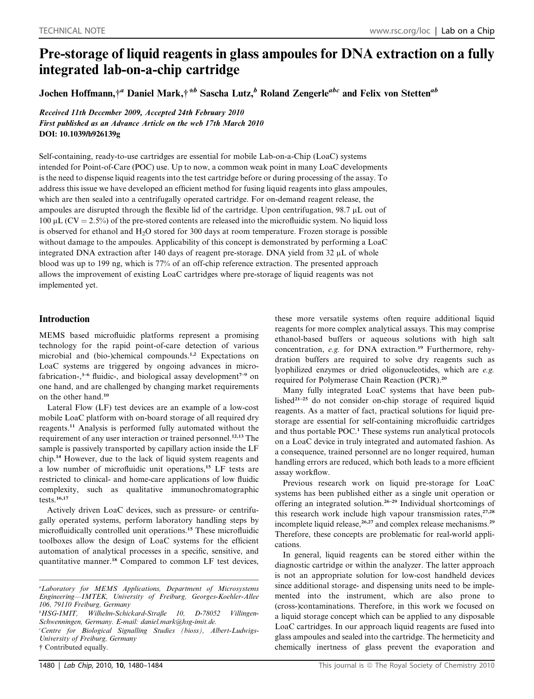# Pre-storage of liquid reagents in glass ampoules for DNA extraction on a fully integrated lab-on-a-chip cartridge

Jochen Hoffmann,<sup>†a</sup> Daniel Mark,<sup>†\*b</sup> Sascha Lutz,<sup>b</sup> Roland Zengerle<sup>abc</sup> and Felix von Stetten<sup>ab</sup>

Received 11th December 2009, Accepted 24th February 2010 First published as an Advance Article on the web 17th March 2010 DOI: 10.1039/b926139g

Self-containing, ready-to-use cartridges are essential for mobile Lab-on-a-Chip (LoaC) systems intended for Point-of-Care (POC) use. Up to now, a common weak point in many LoaC developments is the need to dispense liquid reagents into the test cartridge before or during processing of the assay. To address this issue we have developed an efficient method for fusing liquid reagents into glass ampoules, which are then sealed into a centrifugally operated cartridge. For on-demand reagent release, the ampoules are disrupted through the flexible lid of the cartridge. Upon centrifugation,  $98.7 \mu L$  out of  $100 \mu L (CV = 2.5%)$  of the pre-stored contents are released into the microfluidic system. No liquid loss is observed for ethanol and  $H_2O$  stored for 300 days at room temperature. Frozen storage is possible without damage to the ampoules. Applicability of this concept is demonstrated by performing a LoaC integrated DNA extraction after 140 days of reagent pre-storage. DNA yield from 32  $\mu$ L of whole blood was up to 199 ng, which is 77% of an off-chip reference extraction. The presented approach allows the improvement of existing LoaC cartridges where pre-storage of liquid reagents was not implemented yet.

# Introduction

MEMS based microfluidic platforms represent a promising technology for the rapid point-of-care detection of various microbial and (bio-)chemical compounds.<sup>1,2</sup> Expectations on LoaC systems are triggered by ongoing advances in microfabrication-, $3-6$  fluidic-, and biological assay development<sup> $7-9$ </sup> on one hand, and are challenged by changing market requirements on the other hand.<sup>10</sup>

Lateral Flow (LF) test devices are an example of a low-cost mobile LoaC platform with on-board storage of all required dry reagents.<sup>11</sup> Analysis is performed fully automated without the requirement of any user interaction or trained personnel.<sup>12,13</sup> The sample is passively transported by capillary action inside the LF chip.<sup>14</sup> However, due to the lack of liquid system reagents and a low number of microfluidic unit operations,<sup>15</sup> LF tests are restricted to clinical- and home-care applications of low fluidic complexity, such as qualitative immunochromatographic tests.16,17

Actively driven LoaC devices, such as pressure- or centrifugally operated systems, perform laboratory handling steps by microfluidically controlled unit operations.<sup>15</sup> These microfluidic toolboxes allow the design of LoaC systems for the efficient automation of analytical processes in a specific, sensitive, and quantitative manner.<sup>18</sup> Compared to common LF test devices,

b HSG-IMIT, Wilhelm-Schickard-Straße 10, D-78052 Villingen-Schwenningen, Germany. E-mail: daniel.mark@hsg-imit.de. c Centre for Biological Signalling Studies (bioss), Albert-Ludwigs-University of Freiburg, Germany

† Contributed equally.

these more versatile systems often require additional liquid reagents for more complex analytical assays. This may comprise ethanol-based buffers or aqueous solutions with high salt concentration, e.g. for DNA extraction.<sup>19</sup> Furthermore, rehydration buffers are required to solve dry reagents such as lyophilized enzymes or dried oligonucleotides, which are e.g. required for Polymerase Chain Reaction (PCR).<sup>20</sup>

Many fully integrated LoaC systems that have been published $2^{1-25}$  do not consider on-chip storage of required liquid reagents. As a matter of fact, practical solutions for liquid prestorage are essential for self-containing microfluidic cartridges and thus portable POC.<sup>1</sup> These systems run analytical protocols on a LoaC device in truly integrated and automated fashion. As a consequence, trained personnel are no longer required, human handling errors are reduced, which both leads to a more efficient assay workflow.

Previous research work on liquid pre-storage for LoaC systems has been published either as a single unit operation or offering an integrated solution.26–29 Individual shortcomings of this research work include high vapour transmission rates, $27,28$ incomplete liquid release,<sup>26,27</sup> and complex release mechanisms.<sup>29</sup> Therefore, these concepts are problematic for real-world applications.

In general, liquid reagents can be stored either within the diagnostic cartridge or within the analyzer. The latter approach is not an appropriate solution for low-cost handheld devices since additional storage- and dispensing units need to be implemented into the instrument, which are also prone to (cross-)contaminations. Therefore, in this work we focused on a liquid storage concept which can be applied to any disposable LoaC cartridges. In our approach liquid reagents are fused into glass ampoules and sealed into the cartridge. The hermeticity and chemically inertness of glass prevent the evaporation and

a Laboratory for MEMS Applications, Department of Microsystems Engineering—IMTEK, University of Freiburg, Georges-Koehler-Allee 106, 79110 Freiburg, Germany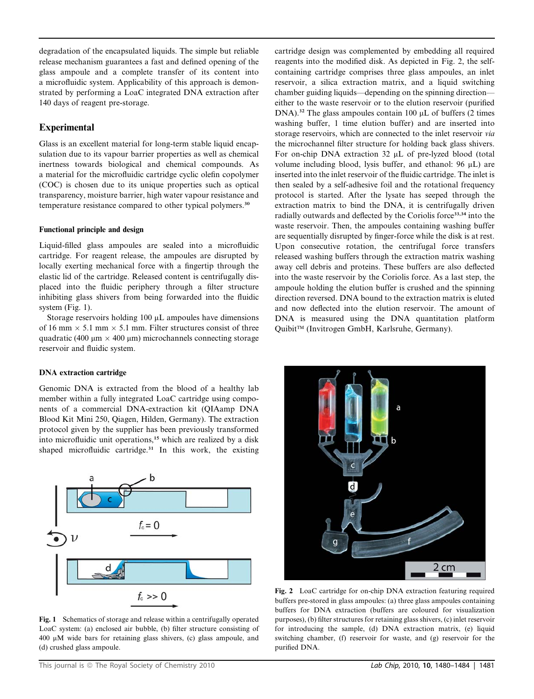degradation of the encapsulated liquids. The simple but reliable release mechanism guarantees a fast and defined opening of the glass ampoule and a complete transfer of its content into a microfluidic system. Applicability of this approach is demonstrated by performing a LoaC integrated DNA extraction after 140 days of reagent pre-storage.

## **Experimental**

Glass is an excellent material for long-term stable liquid encapsulation due to its vapour barrier properties as well as chemical inertness towards biological and chemical compounds. As a material for the microfluidic cartridge cyclic olefin copolymer (COC) is chosen due to its unique properties such as optical transparency, moisture barrier, high water vapour resistance and temperature resistance compared to other typical polymers.<sup>30</sup>

#### Functional principle and design

Liquid-filled glass ampoules are sealed into a microfluidic cartridge. For reagent release, the ampoules are disrupted by locally exerting mechanical force with a fingertip through the elastic lid of the cartridge. Released content is centrifugally displaced into the fluidic periphery through a filter structure inhibiting glass shivers from being forwarded into the fluidic system (Fig. 1).

Storage reservoirs holding  $100 \mu L$  ampoules have dimensions of 16 mm  $\times$  5.1 mm  $\times$  5.1 mm. Filter structures consist of three quadratic (400  $\mu$ m  $\times$  400  $\mu$ m) microchannels connecting storage reservoir and fluidic system.

### DNA extraction cartridge

Genomic DNA is extracted from the blood of a healthy lab member within a fully integrated LoaC cartridge using components of a commercial DNA-extraction kit (QIAamp DNA Blood Kit Mini 250, Qiagen, Hilden, Germany). The extraction protocol given by the supplier has been previously transformed into microfluidic unit operations,<sup>15</sup> which are realized by a disk shaped microfluidic cartridge. $31$  In this work, the existing



Fig. 1 Schematics of storage and release within a centrifugally operated LoaC system: (a) enclosed air bubble, (b) filter structure consisting of  $400 \mu M$  wide bars for retaining glass shivers, (c) glass ampoule, and (d) crushed glass ampoule.

cartridge design was complemented by embedding all required reagents into the modified disk. As depicted in Fig. 2, the selfcontaining cartridge comprises three glass ampoules, an inlet reservoir, a silica extraction matrix, and a liquid switching chamber guiding liquids—depending on the spinning direction either to the waste reservoir or to the elution reservoir (purified DNA).<sup>32</sup> The glass ampoules contain 100  $\mu$ L of buffers (2 times washing buffer, 1 time elution buffer) and are inserted into storage reservoirs, which are connected to the inlet reservoir via the microchannel filter structure for holding back glass shivers. For on-chip DNA extraction 32 µL of pre-lyzed blood (total volume including blood, lysis buffer, and ethanol:  $96 \mu L$ ) are inserted into the inlet reservoir of the fluidic cartridge. The inlet is then sealed by a self-adhesive foil and the rotational frequency protocol is started. After the lysate has seeped through the extraction matrix to bind the DNA, it is centrifugally driven radially outwards and deflected by the Coriolis force<sup>33,34</sup> into the waste reservoir. Then, the ampoules containing washing buffer are sequentially disrupted by finger-force while the disk is at rest. Upon consecutive rotation, the centrifugal force transfers released washing buffers through the extraction matrix washing away cell debris and proteins. These buffers are also deflected into the waste reservoir by the Coriolis force. As a last step, the ampoule holding the elution buffer is crushed and the spinning direction reversed. DNA bound to the extraction matrix is eluted and now deflected into the elution reservoir. The amount of DNA is measured using the DNA quantitation platform Quibit™ (Invitrogen GmbH, Karlsruhe, Germany).



Fig. 2 LoaC cartridge for on-chip DNA extraction featuring required buffers pre-stored in glass ampoules: (a) three glass ampoules containing buffers for DNA extraction (buffers are coloured for visualization purposes), (b) filter structures for retaining glass shivers, (c) inlet reservoir for introducing the sample, (d) DNA extraction matrix, (e) liquid switching chamber, (f) reservoir for waste, and (g) reservoir for the purified DNA.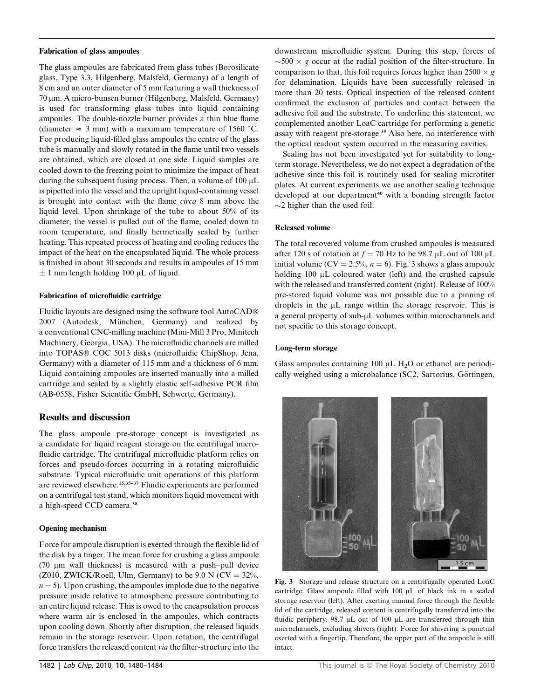#### Fabrication of glass ampoules

The glass ampoules are fabricated from glass tubes (Borosilicate glass, Type 3.3, Hilgenberg, Malsfeld, Germany) of a length of 8 cm and an outer diameter of 5 mm featuring a wall thickness of 70 μm. A micro-bunsen burner (Hilgenberg, Malsfeld, Germany) is used for transforming glass tubes into liquid containing ampoules. The double-nozzle burner provides a thin blue flame (diameter  $\approx$  3 mm) with a maximum temperature of 1560 °C. For producing liquid-filled glass ampoules the centre of the glass tube is manually and slowly rotated in the flame until two vessels are obtained, which are closed at one side. Liquid samples are cooled down to the freezing point to minimize the impact of heat during the subsequent fusing process. Then, a volume of  $100 \mu L$ is pipetted into the vessel and the upright liquid-containing vessel is brought into contact with the flame circa 8 mm above the liquid level. Upon shrinkage of the tube to about 50% of its diameter, the vessel is pulled out of the flame, cooled down to room temperature, and finally hermetically sealed by further heating. This repeated process of heating and cooling reduces the impact of the heat on the encapsulated liquid. The whole process is finished in about 30 seconds and results in ampoules of 15 mm  $\pm$  1 mm length holding 100  $\mu$ L of liquid.

#### Fabrication of microfluidic cartridge

Fluidic layouts are designed using the software tool AutoCAD 2007 (Autodesk, München, Germany) and realized by a conventional CNC-milling machine (Mini-Mill 3 Pro, Minitech Machinery, Georgia, USA). The microfluidic channels are milled into TOPAS® COC 5013 disks (microfluidic ChipShop, Jena, Germany) with a diameter of 115 mm and a thickness of 6 mm. Liquid containing ampoules are inserted manually into a milled cartridge and sealed by a slightly elastic self-adhesive PCR film (AB-0558, Fisher Scientific GmbH, Schwerte, Germany).

#### Results and discussion

The glass ampoule pre-storage concept is investigated as a candidate for liquid reagent storage on the centrifugal microfluidic cartridge. The centrifugal microfluidic platform relies on forces and pseudo-forces occurring in a rotating microfluidic substrate. Typical microfluidic unit operations of this platform are reviewed elsewhere.15,35–37 Fluidic experiments are performed on a centrifugal test stand, which monitors liquid movement with a high-speed CCD camera.<sup>38</sup>

#### Opening mechanism

Force for ampoule disruption is exerted through the flexible lid of the disk by a finger. The mean force for crushing a glass ampoule (70  $\mu$ m wall thickness) is measured with a push-pull device (Z010, ZWICK/Roell, Ulm, Germany) to be  $9.0 \text{ N (CV } = 32\%,$  $n = 5$ ). Upon crushing, the ampoules implode due to the negative pressure inside relative to atmospheric pressure contributing to an entire liquid release. This is owed to the encapsulation process where warm air is enclosed in the ampoules, which contracts upon cooling down. Shortly after disruption, the released liquids remain in the storage reservoir. Upon rotation, the centrifugal force transfers the released content via the filter-structure into the

downstream microfluidic system. During this step, forces of  $\sim$  500  $\times$  g occur at the radial position of the filter-structure. In comparison to that, this foil requires forces higher than  $2500 \times g$ for delamination. Liquids have been successfully released in more than 20 tests. Optical inspection of the released content confirmed the exclusion of particles and contact between the adhesive foil and the substrate. To underline this statement, we complemented another LoaC cartridge for performing a genetic assay with reagent pre-storage.<sup>39</sup> Also here, no interference with the optical readout system occurred in the measuring cavities.

Sealing has not been investigated yet for suitability to longterm storage. Nevertheless, we do not expect a degradation of the adhesive since this foil is routinely used for sealing microtiter plates. At current experiments we use another sealing technique developed at our department<sup>40</sup> with a bonding strength factor  $\sim$ 2 higher than the used foil.

#### Released volume

The total recovered volume from crushed ampoules is measured after 120 s of rotation at  $f = 70$  Hz to be 98.7 µL out of 100 µL initial volume (CV = 2.5%,  $n = 6$ ). Fig. 3 shows a glass ampoule holding  $100 \mu L$  coloured water (left) and the crushed capsule with the released and transferred content (right). Release of 100% pre-stored liquid volume was not possible due to a pinning of droplets in the  $\mu$ L range within the storage reservoir. This is a general property of sub- $\mu$ L volumes within microchannels and not specific to this storage concept.

#### Long-term storage

Glass ampoules containing 100  $\mu$ L H<sub>2</sub>O or ethanol are periodically weighed using a microbalance (SC2, Sartorius, Göttingen,



Fig. 3 Storage and release structure on a centrifugally operated LoaC cartridge. Glass ampoule filled with 100 mL of black ink in a sealed storage reservoir (left). After exerting manual force through the flexible lid of the cartridge, released content is centrifugally transferred into the fluidic periphery.  $98.7 \mu L$  out of 100  $\mu L$  are transferred through thin microchannels, excluding shivers (right). Force for shivering is punctual exerted with a fingertip. Therefore, the upper part of the ampoule is still intact.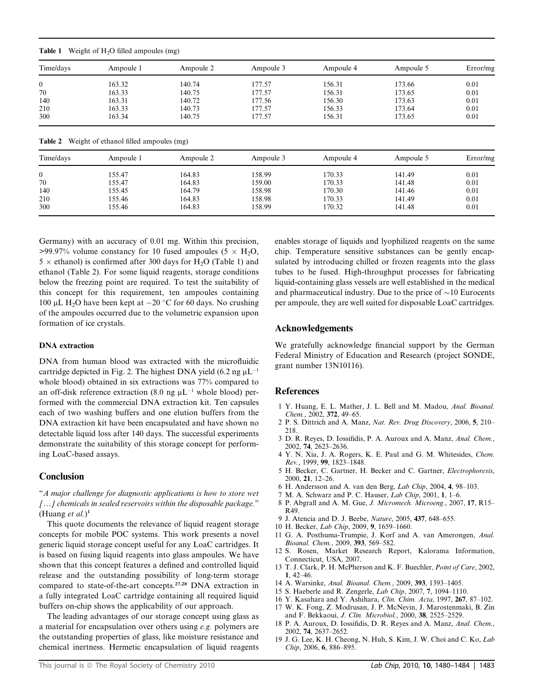|  | <b>Table 1</b> Weight of $H_2O$ filled ampoules (mg) |  |  |  |
|--|------------------------------------------------------|--|--|--|
|--|------------------------------------------------------|--|--|--|

| Time/days    | Ampoule 1                              | Ampoule 2 | Ampoule 3 | Ampoule 4 | Ampoule 5 | Error/mg |
|--------------|----------------------------------------|-----------|-----------|-----------|-----------|----------|
| $\mathbf{0}$ | 163.32                                 | 140.74    | 177.57    | 156.31    | 173.66    | 0.01     |
| 70           | 163.33                                 | 140.75    | 177.57    | 156.31    | 173.65    | 0.01     |
| 140          | 163.31                                 | 140.72    | 177.56    | 156.30    | 173.63    | 0.01     |
| 210          | 163.33                                 | 140.73    | 177.57    | 156.33    | 173.64    | 0.01     |
| 300          | 163.34                                 | 140.75    | 177.57    | 156.31    | 173.65    | 0.01     |
| Table 2      | Weight of ethanol filled ampoules (mg) |           |           |           |           |          |
| Time/days    | Ampoule 1                              | Ampoule 2 | Ampoule 3 | Ampoule 4 | Ampoule 5 | Error/mg |

0 155.47 164.83 158.99 170.33 141.49 0.01 70 155.47 164.83 159.00 170.33 141.48 0.01 140 155.45 164.79 158.98 170.30 141.46 0.01 210 155.46 164.83 158.98 170.33 141.49 0.01 300 155.46 164.83 158.99 170.32 141.48 0.01

Germany) with an accuracy of 0.01 mg. Within this precision,  $>99.97\%$  volume constancy for 10 fused ampoules (5  $\times$  H<sub>2</sub>O,  $5 \times$  ethanol) is confirmed after 300 days for H<sub>2</sub>O (Table 1) and ethanol (Table 2). For some liquid reagents, storage conditions below the freezing point are required. To test the suitability of this concept for this requirement, ten ampoules containing 100 µL H<sub>2</sub>O have been kept at  $-20$  °C for 60 days. No crushing of the ampoules occurred due to the volumetric expansion upon formation of ice crystals.

#### DNA extraction

DNA from human blood was extracted with the microfluidic cartridge depicted in Fig. 2. The highest DNA yield (6.2 ng  $\mu L^{-1}$ ) whole blood) obtained in six extractions was 77% compared to an off-disk reference extraction (8.0 ng  $\mu$ L<sup>-1</sup> whole blood) performed with the commercial DNA extraction kit. Ten capsules each of two washing buffers and one elution buffers from the DNA extraction kit have been encapsulated and have shown no detectable liquid loss after 140 days. The successful experiments demonstrate the suitability of this storage concept for performing LoaC-based assays.

#### **Conclusion**

''A major challenge for diagnostic applications is how to store wet  $[...]$  chemicals in sealed reservoirs within the disposable package." (Huang et al.)<sup>1</sup>

This quote documents the relevance of liquid reagent storage concepts for mobile POC systems. This work presents a novel generic liquid storage concept useful for any LoaC cartridges. It is based on fusing liquid reagents into glass ampoules. We have shown that this concept features a defined and controlled liquid release and the outstanding possibility of long-term storage compared to state-of-the-art concepts.27,28 DNA extraction in a fully integrated LoaC cartridge containing all required liquid buffers on-chip shows the applicability of our approach.

The leading advantages of our storage concept using glass as a material for encapsulation over others using e.g. polymers are the outstanding properties of glass, like moisture resistance and chemical inertness. Hermetic encapsulation of liquid reagents

enables storage of liquids and lyophilized reagents on the same chip. Temperature sensitive substances can be gently encapsulated by introducing chilled or frozen reagents into the glass tubes to be fused. High-throughput processes for fabricating liquid-containing glass vessels are well established in the medical and pharmaceutical industry. Due to the price of  $\sim$ 10 Eurocents per ampoule, they are well suited for disposable LoaC cartridges.

#### Acknowledgements

We gratefully acknowledge financial support by the German Federal Ministry of Education and Research (project SONDE, grant number 13N10116).

#### References

- 1 Y. Huang, E. L. Mather, J. L. Bell and M. Madou, Anal. Bioanal. Chem., 2002, 372, 49–65.
- 2 P. S. Dittrich and A. Manz, Nat. Rev. Drug Discovery, 2006, 5, 210– 218.
- 3 D. R. Reyes, D. Iossifidis, P. A. Auroux and A. Manz, Anal. Chem., 2002, 74, 2623–2636.
- 4 Y. N. Xia, J. A. Rogers, K. E. Paul and G. M. Whitesides, Chem. Rev., 1999, 99, 1823–1848.
- 5 H. Becker, C. Gartner, H. Becker and C. Gartner, Electrophoresis, 2000, 21, 12–26.
- 6 H. Andersson and A. van den Berg, Lab Chip, 2004, 4, 98–103.
- 7 M. A. Schwarz and P. C. Hauser, Lab Chip, 2001, 1, 1–6.
- 8 P. Abgrall and A. M. Gue, J. Micromech. Microeng., 2007, 17, R15– R49.
- 9 J. Atencia and D. J. Beebe, Nature, 2005, 437, 648–655.
- 10 H. Becker, Lab Chip, 2009, 9, 1659–1660.
- 11 G. A. Posthuma-Trumpie, J. Korf and A. van Amerongen, Anal. Bioanal. Chem., 2009, 393, 569–582.
- 12 S. Rosen, Market Research Report, Kalorama Information, Connecticut, USA, 2007.
- 13 T. J. Clark, P. H. McPherson and K. F. Buechler, Point of Care, 2002, 1, 42–46.
- 14 A. Warsinke, Anal. Bioanal. Chem., 2009, 393, 1393–1405.
- 15 S. Haeberle and R. Zengerle, Lab Chip, 2007, 7, 1094–1110.
- 16 Y. Kasahara and Y. Ashihara, Clin. Chim. Acta, 1997, 267, 87–102. 17 W. K. Fong, Z. Modrusan, J. P. McNevin, J. Marostenmaki, B. Zin
- and F. Bekkaoui, J. Clin. Microbiol., 2000, 38, 2525–2529. 18 P. A. Auroux, D. Iossifidis, D. R. Reyes and A. Manz, Anal. Chem.,
- 2002, 74, 2637–2652.
- 19 J. G. Lee, K. H. Cheong, N. Huh, S. Kim, J. W. Choi and C. Ko, Lab Chip, 2006, 6, 886–895.